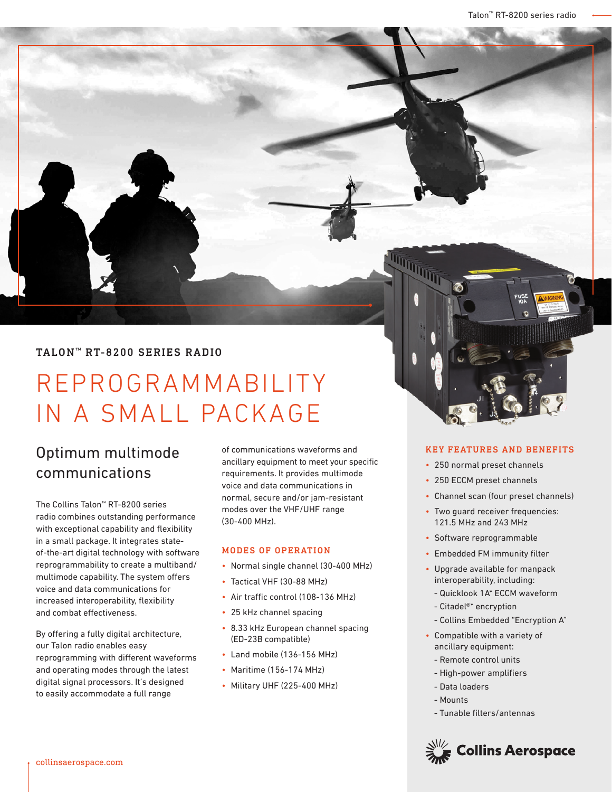# TALON<sup>™</sup> RT-8200 SERIES RADIO

# REPROGRAMMABILITY IN A SMALL PACKAGE

# Optimum multimode communications

The Collins Talon™ RT-8200 series radio combines outstanding performance with exceptional capability and flexibility in a small package. It integrates stateof-the-art digital technology with software reprogrammability to create a multiband/ multimode capability. The system offers voice and data communications for increased interoperability, flexibility and combat effectiveness.

By offering a fully digital architecture, our Talon radio enables easy reprogramming with different waveforms and operating modes through the latest digital signal processors. It's designed to easily accommodate a full range

of communications waveforms and ancillary equipment to meet your specific requirements. It provides multimode voice and data communications in normal, secure and/or jam-resistant modes over the VHF/UHF range (30-400 MHz).

#### MODES OF OPERATION

- Normal single channel (30-400 MHz)
- Tactical VHF (30-88 MHz)
- Air traffic control (108-136 MHz)
- 25 kHz channel spacing
- 8.33 kHz European channel spacing (ED-23B compatible)
- Land mobile (136-156 MHz)
- Maritime (156-174 MHz)
- Military UHF (225-400 MHz)

#### KEY FEATURES AND BENEFITS

- 250 normal preset channels
- 250 ECCM preset channels

- Channel scan (four preset channels)
- Two guard receiver frequencies: 121.5 MHz and 243 MHz
- Software reprogrammable
- Embedded FM immunity filter
- Upgrade available for manpack interoperability, including:
	- Quicklook 1A\* ECCM waveform
	- Citadel®\* encryption
	- Collins Embedded "Encryption A"
- Compatible with a variety of ancillary equipment:
	- Remote control units
	- High-power amplifiers
	- Data loaders
	- Mounts
	- Tunable filters/antennas